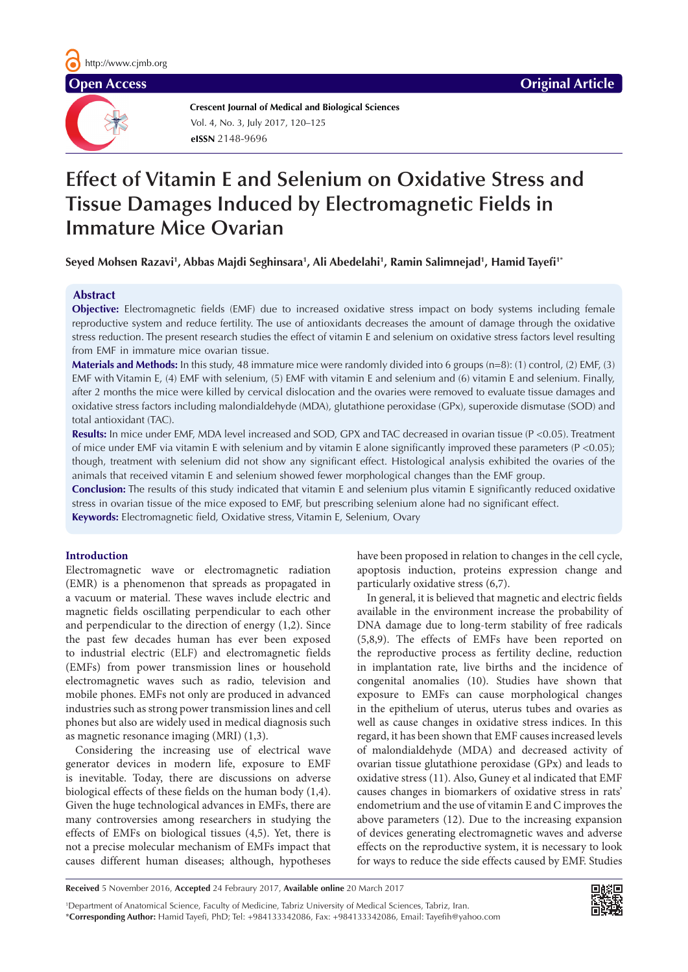**Crescent Journal of Medical and Biological Sciences eISSN** 2148-9696 Vol. 4, No. 3, July 2017, 120–125

# **Effect of Vitamin E and Selenium on Oxidative Stress and Tissue Damages Induced by Electromagnetic Fields in Immature Mice Ovarian**

**Seyed Mohsen Razavi1 , Abbas Majdi Seghinsara1 , Ali Abedelahi1 , Ramin Salimnejad1 , Hamid Tayefi1\***

# **Abstract**

**Objective:** Electromagnetic fields (EMF) due to increased oxidative stress impact on body systems including female reproductive system and reduce fertility. The use of antioxidants decreases the amount of damage through the oxidative stress reduction. The present research studies the effect of vitamin E and selenium on oxidative stress factors level resulting from EMF in immature mice ovarian tissue.

**Materials and Methods:** In this study, 48 immature mice were randomly divided into 6 groups (n=8): (1) control, (2) EMF, (3) EMF with Vitamin E, (4) EMF with selenium, (5) EMF with vitamin E and selenium and (6) vitamin E and selenium. Finally, after 2 months the mice were killed by cervical dislocation and the ovaries were removed to evaluate tissue damages and oxidative stress factors including malondialdehyde (MDA), glutathione peroxidase (GPx), superoxide dismutase (SOD) and total antioxidant (TAC).

**Results:** In mice under EMF, MDA level increased and SOD, GPX and TAC decreased in ovarian tissue (P <0.05). Treatment of mice under EMF via vitamin E with selenium and by vitamin E alone significantly improved these parameters (P <0.05); though, treatment with selenium did not show any significant effect. Histological analysis exhibited the ovaries of the animals that received vitamin E and selenium showed fewer morphological changes than the EMF group.

**Conclusion:** The results of this study indicated that vitamin E and selenium plus vitamin E significantly reduced oxidative stress in ovarian tissue of the mice exposed to EMF, but prescribing selenium alone had no significant effect.

**Keywords:** Electromagnetic field, Oxidative stress, Vitamin E, Selenium, Ovary

# **Introduction**

Electromagnetic wave or electromagnetic radiation (EMR) is a phenomenon that spreads as propagated in a vacuum or material. These waves include electric and magnetic fields oscillating perpendicular to each other and perpendicular to the direction of energy (1,2). Since the past few decades human has ever been exposed to industrial electric (ELF) and electromagnetic fields (EMFs) from power transmission lines or household electromagnetic waves such as radio, television and mobile phones. EMFs not only are produced in advanced industries such as strong power transmission lines and cell phones but also are widely used in medical diagnosis such as magnetic resonance imaging (MRI) (1,3).

Considering the increasing use of electrical wave generator devices in modern life, exposure to EMF is inevitable. Today, there are discussions on adverse biological effects of these fields on the human body (1,4). Given the huge technological advances in EMFs, there are many controversies among researchers in studying the effects of EMFs on biological tissues (4,5). Yet, there is not a precise molecular mechanism of EMFs impact that causes different human diseases; although, hypotheses

have been proposed in relation to changes in the cell cycle, apoptosis induction, proteins expression change and particularly oxidative stress (6,7).

In general, it is believed that magnetic and electric fields available in the environment increase the probability of DNA damage due to long-term stability of free radicals (5,8,9). The effects of EMFs have been reported on the reproductive process as fertility decline, reduction in implantation rate, live births and the incidence of congenital anomalies (10). Studies have shown that exposure to EMFs can cause morphological changes in the epithelium of uterus, uterus tubes and ovaries as well as cause changes in oxidative stress indices. In this regard, it has been shown that EMF causes increased levels of malondialdehyde (MDA) and decreased activity of ovarian tissue glutathione peroxidase (GPx) and leads to oxidative stress (11). Also, Guney et al indicated that EMF causes changes in biomarkers of oxidative stress in rats' endometrium and the use of vitamin E and C improves the above parameters (12). Due to the increasing expansion of devices generating electromagnetic waves and adverse effects on the reproductive system, it is necessary to look for ways to reduce the side effects caused by EMF. Studies

**Received** 5 November 2016, **Accepted** 24 Febraury 2017, **Available online** 20 March 2017

1 Department of Anatomical Science, Faculty of Medicine, Tabriz University of Medical Sciences, Tabriz, Iran. \***Corresponding Author:** Hamid Tayefi, PhD; Tel: +984133342086, Fax: +984133342086, Email: Tayefih@yahoo.com

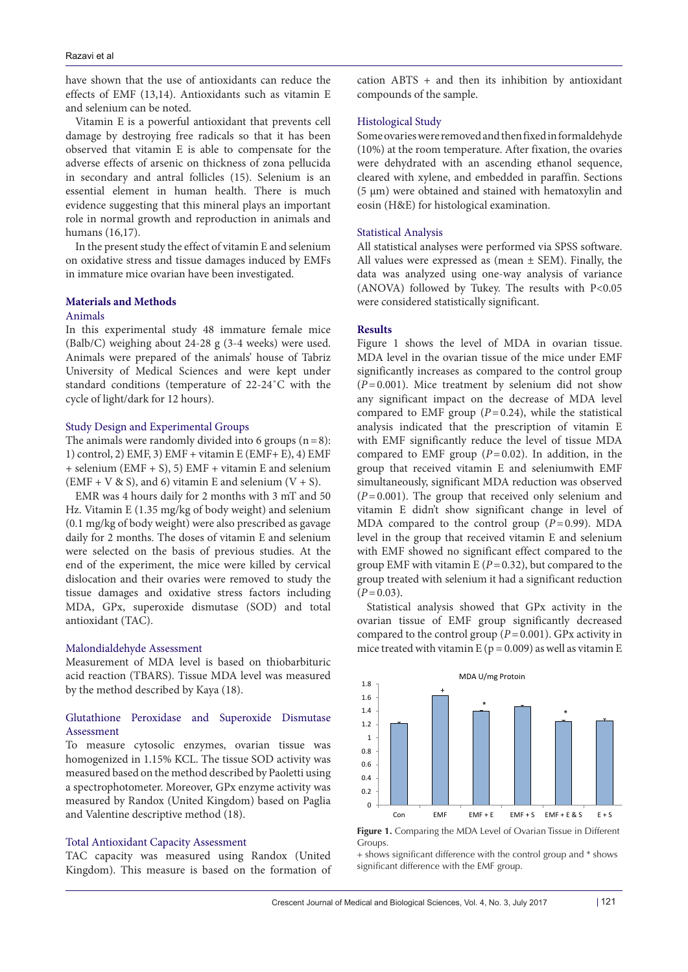have shown that the use of antioxidants can reduce the effects of EMF (13,14). Antioxidants such as vitamin E and selenium can be noted.

Vitamin E is a powerful antioxidant that prevents cell damage by destroying free radicals so that it has been observed that vitamin E is able to compensate for the adverse effects of arsenic on thickness of zona pellucida in secondary and antral follicles (15). Selenium is an essential element in human health. There is much evidence suggesting that this mineral plays an important role in normal growth and reproduction in animals and humans (16,17).

In the present study the effect of vitamin E and selenium on oxidative stress and tissue damages induced by EMFs in immature mice ovarian have been investigated.

# **Materials and Methods**

# Animals

In this experimental study 48 immature female mice (Balb/C) weighing about 24-28 g (3-4 weeks) were used. Animals were prepared of the animals' house of Tabriz University of Medical Sciences and were kept under standard conditions (temperature of 22-24˚C with the cycle of light/dark for 12 hours).

# Study Design and Experimental Groups

The animals were randomly divided into 6 groups  $(n=8)$ : 1) control, 2) EMF, 3) EMF + vitamin E (EMF+ E), 4) EMF + selenium (EMF + S), 5) EMF + vitamin E and selenium  $(EMF + V & S),$  and 6) vitamin E and selenium  $(V + S)$ .

EMR was 4 hours daily for 2 months with 3 mT and 50 Hz. Vitamin E (1.35 mg/kg of body weight) and selenium (0.1 mg/kg of body weight) were also prescribed as gavage daily for 2 months. The doses of vitamin E and selenium were selected on the basis of previous studies. At the end of the experiment, the mice were killed by cervical dislocation and their ovaries were removed to study the tissue damages and oxidative stress factors including MDA, GPx, superoxide dismutase (SOD) and total antioxidant (TAC).

#### Malondialdehyde Assessment

Measurement of MDA level is based on thiobarbituric acid reaction (TBARS). Tissue MDA level was measured by the method described by Kaya (18).

# Glutathione Peroxidase and Superoxide Dismutase Assessment

To measure cytosolic enzymes, ovarian tissue was homogenized in 1.15% KCL. The tissue SOD activity was measured based on the method described by Paoletti using a spectrophotometer. Moreover, GPx enzyme activity was measured by Randox (United Kingdom) based on Paglia and Valentine descriptive method (18).

# Total Antioxidant Capacity Assessment

TAC capacity was measured using Randox (United Kingdom). This measure is based on the formation of cation  $ABTS + and$  then its inhibition by antioxidant compounds of the sample.

#### Histological Study

Some ovaries were removed and then fixed in formaldehyde (10%) at the room temperature. After fixation, the ovaries were dehydrated with an ascending ethanol sequence, cleared with xylene, and embedded in paraffin. Sections (5 μm) were obtained and stained with hematoxylin and eosin (H&E) for histological examination.

### Statistical Analysis

All statistical analyses were performed via SPSS software. All values were expressed as (mean  $\pm$  SEM). Finally, the data was analyzed using one-way analysis of variance (ANOVA) followed by Tukey. The results with P<0.05 were considered statistically significant.

#### **Results**

Figure 1 shows the level of MDA in ovarian tissue. MDA level in the ovarian tissue of the mice under EMF significantly increases as compared to the control group  $(P=0.001)$ . Mice treatment by selenium did not show any significant impact on the decrease of MDA level compared to EMF group  $(P=0.24)$ , while the statistical analysis indicated that the prescription of vitamin E with EMF significantly reduce the level of tissue MDA compared to EMF group (*P*=0.02). In addition, in the group that received vitamin E and seleniumwith EMF simultaneously, significant MDA reduction was observed (*P*=0.001). The group that received only selenium and vitamin E didn't show significant change in level of MDA compared to the control group  $(P=0.99)$ . MDA level in the group that received vitamin E and selenium with EMF showed no significant effect compared to the group EMF with vitamin E  $(P=0.32)$ , but compared to the group treated with selenium it had a significant reduction  $(P=0.03)$ .

Statistical analysis showed that GPx activity in the ovarian tissue of EMF group significantly decreased compared to the control group (*P*=0.001). GPx activity in mice treated with vitamin E ( $p = 0.009$ ) as well as vitamin E





 $_{\rm ed}$  + shows significant difference with the control group and  $^*$  shows significant difference with the EMF group.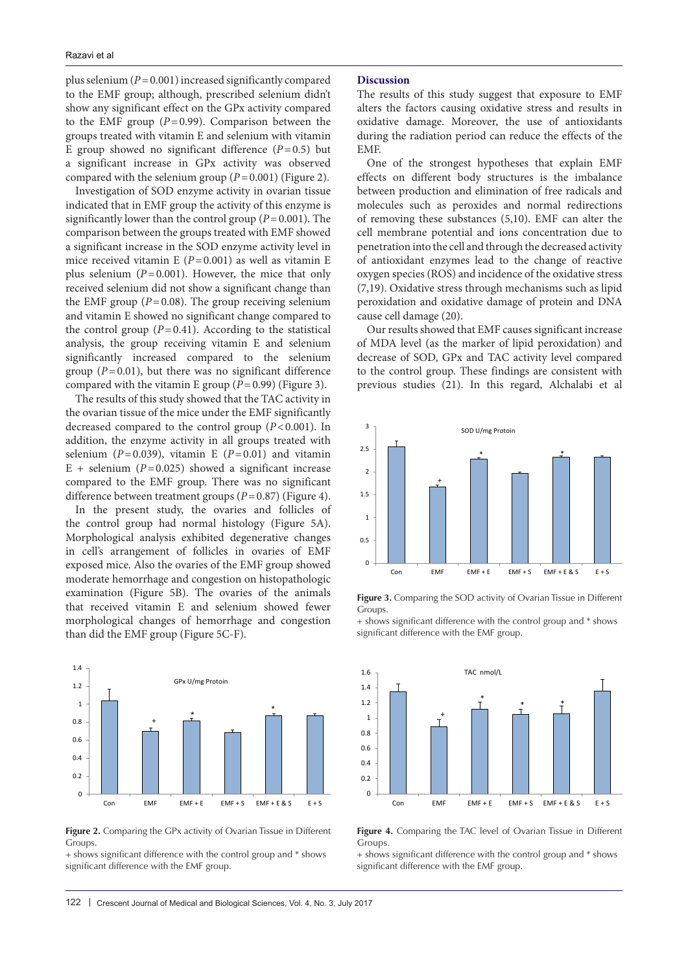plus selenium (*P*=0.001) increased significantly compared to the EMF group; although, prescribed selenium didn't show any significant effect on the GPx activity compared to the EMF group  $(P=0.99)$ . Comparison between the groups treated with vitamin E and selenium with vitamin E group showed no significant difference  $(P=0.5)$  but a significant increase in GPx activity was observed compared with the selenium group  $(P=0.001)$  (Figure 2).

Investigation of SOD enzyme activity in ovarian tissue indicated that in EMF group the activity of this enzyme is significantly lower than the control group (*P*=0.001). The comparison between the groups treated with EMF showed a significant increase in the SOD enzyme activity level in mice received vitamin E  $(P=0.001)$  as well as vitamin E plus selenium  $(P=0.001)$ . However, the mice that only received selenium did not show a significant change than the EMF group  $(P=0.08)$ . The group receiving selenium and vitamin E showed no significant change compared to the control group  $(P=0.41)$ . According to the statistical analysis, the group receiving vitamin E and selenium significantly increased compared to the selenium group  $(P=0.01)$ , but there was no significant difference compared with the vitamin E group  $(P=0.99)$  (Figure 3).

The results of this study showed that the TAC activity in In the ovarian tissue of the mice under the EMF significantly decreased compared to the control group (*P*<0.001). In addition, the enzyme activity in all groups treated with selenium ( $P=0.039$ ), vitamin E ( $P=0.01$ ) and vitamin  $E +$  selenium ( $P = 0.025$ ) showed a significant increase compared to the EMF group. There was no significant difference between treatment groups (*P* = 0.87) (Figure 4). .<br>..

In the present study, the ovaries and follicles of the control group had normal histology (Figure 5A). Morphological analysis exhibited degenerative changes in cell's arrangement of follicles in ovaries of EMF exposed mice. Also the ovaries of the EMF group showed  $\frac{1}{2}$ moderate hemorrhage and congestion on histopathologic examination (Figure 5B). The ovaries of the animals that received vitamin E and selenium showed fewer morphological changes of hemorrhage and congestion than did the EMF group (Figure 5C-F).



 $D$  Comparing the GPy activity of Ovarian Tissue in Different  $\Box$ **Figure 2.** Comparing the GPx activity of Ovarian Tissue in Different **Groups**.

+ shows significant difference with the control group and \* shows significant difference with the EMF group.

# **Discussion**

The results of this study suggest that exposure to EMF alters the factors causing oxidative stress and results in oxidative damage. Moreover, the use of antioxidants during the radiation period can reduce the effects of the EMF.

One of the strongest hypotheses that explain EMF effects on different body structures is the imbalance between production and elimination of free radicals and molecules such as peroxides and normal redirections of removing these substances (5,10). EMF can alter the cell membrane potential and ions concentration due to penetration into the cell and through the decreased activity of antioxidant enzymes lead to the change of reactive oxygen species (ROS) and incidence of the oxidative stress (7,19). Oxidative stress through mechanisms such as lipid peroxidation and oxidative damage of protein and DNA cause cell damage (20).

Our results showed that EMF causes significant increase of MDA level (as the marker of lipid peroxidation) and decrease of SOD, GPx and TAC activity level compared to the control group. These findings are consistent with previous studies (21). In this regard, Alchalabi et al



Figure 3. Comparing the SOD activity of Ovarian Tissue in Different Groups.  $\frac{d}{dt}$  control group and  $\frac{d}{dt}$  shows significant difference with the EMF group.  $\frac{\text{d1S}}{\text{pi}}$  **Figure 3.** Comparing the SOD activity of Ovarian Tissue in Different

+ shows significant difference with the control group and \* shows significant difference with the EMF group.



**Figure 4.** Comparing the TAC level of Ovarian Tissue in Different Groups. ent Figure 4. Comparing the TAC level of Ovarian Tissue in Different  $\alpha$  shows similar the control group and  $\alpha$ 

+ shows significant difference with the control group and \* shows significant difference with the EMF group.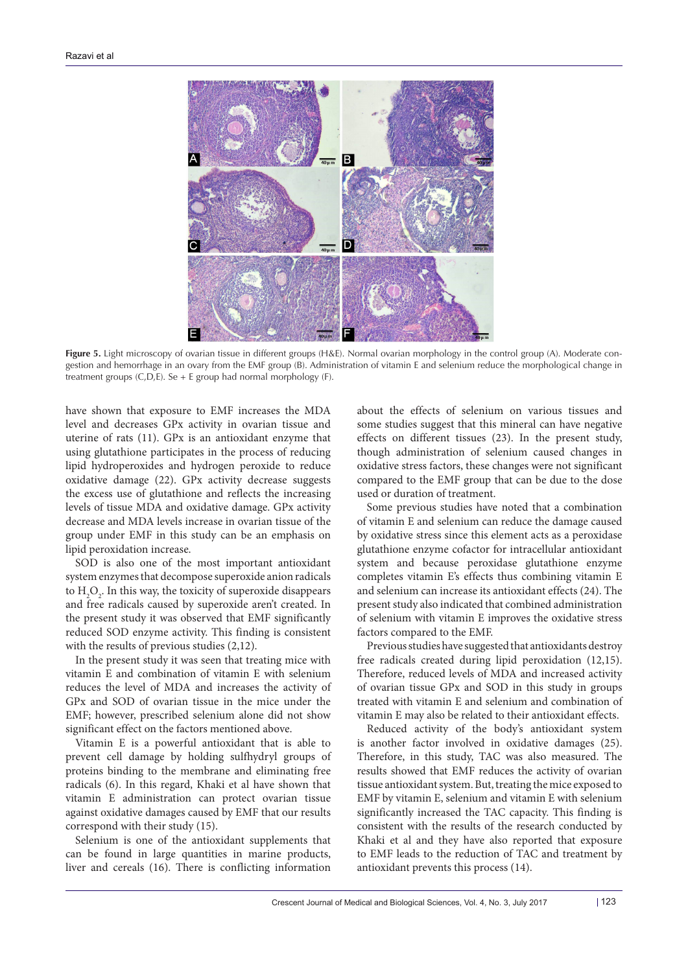

**Figure 5.** Light microscopy of ovarian tissue in different groups (H&E). Normal ovarian morphology in the control group (A). Moderate congestion and hemorrhage in an ovary from the EMF group (B). Administration of vitamin E and selenium reduce the morphological change in treatment groups (C,D,E). Se + E group had normal morphology (F).

have shown that exposure to EMF increases the MDA level and decreases GPx activity in ovarian tissue and uterine of rats (11). GPx is an antioxidant enzyme that using glutathione participates in the process of reducing lipid hydroperoxides and hydrogen peroxide to reduce oxidative damage (22). GPx activity decrease suggests the excess use of glutathione and reflects the increasing levels of tissue MDA and oxidative damage. GPx activity decrease and MDA levels increase in ovarian tissue of the group under EMF in this study can be an emphasis on lipid peroxidation increase.

SOD is also one of the most important antioxidant system enzymes that decompose superoxide anion radicals to  $H_2O_2$ . In this way, the toxicity of superoxide disappears and free radicals caused by superoxide aren't created. In the present study it was observed that EMF significantly reduced SOD enzyme activity. This finding is consistent with the results of previous studies (2,12).

In the present study it was seen that treating mice with vitamin E and combination of vitamin E with selenium reduces the level of MDA and increases the activity of GPx and SOD of ovarian tissue in the mice under the EMF; however, prescribed selenium alone did not show significant effect on the factors mentioned above.

Vitamin E is a powerful antioxidant that is able to prevent cell damage by holding sulfhydryl groups of proteins binding to the membrane and eliminating free radicals (6). In this regard, Khaki et al have shown that vitamin E administration can protect ovarian tissue against oxidative damages caused by EMF that our results correspond with their study (15).

Selenium is one of the antioxidant supplements that can be found in large quantities in marine products, liver and cereals (16). There is conflicting information about the effects of selenium on various tissues and some studies suggest that this mineral can have negative effects on different tissues (23). In the present study, though administration of selenium caused changes in oxidative stress factors, these changes were not significant compared to the EMF group that can be due to the dose used or duration of treatment.

Some previous studies have noted that a combination of vitamin E and selenium can reduce the damage caused by oxidative stress since this element acts as a peroxidase glutathione enzyme cofactor for intracellular antioxidant system and because peroxidase glutathione enzyme completes vitamin E's effects thus combining vitamin E and selenium can increase its antioxidant effects (24). The present study also indicated that combined administration of selenium with vitamin E improves the oxidative stress factors compared to the EMF.

Previous studies have suggested that antioxidants destroy free radicals created during lipid peroxidation (12,15). Therefore, reduced levels of MDA and increased activity of ovarian tissue GPx and SOD in this study in groups treated with vitamin E and selenium and combination of vitamin E may also be related to their antioxidant effects.

Reduced activity of the body's antioxidant system is another factor involved in oxidative damages (25). Therefore, in this study, TAC was also measured. The results showed that EMF reduces the activity of ovarian tissue antioxidant system. But, treating the mice exposed to EMF by vitamin E, selenium and vitamin E with selenium significantly increased the TAC capacity. This finding is consistent with the results of the research conducted by Khaki et al and they have also reported that exposure to EMF leads to the reduction of TAC and treatment by antioxidant prevents this process (14).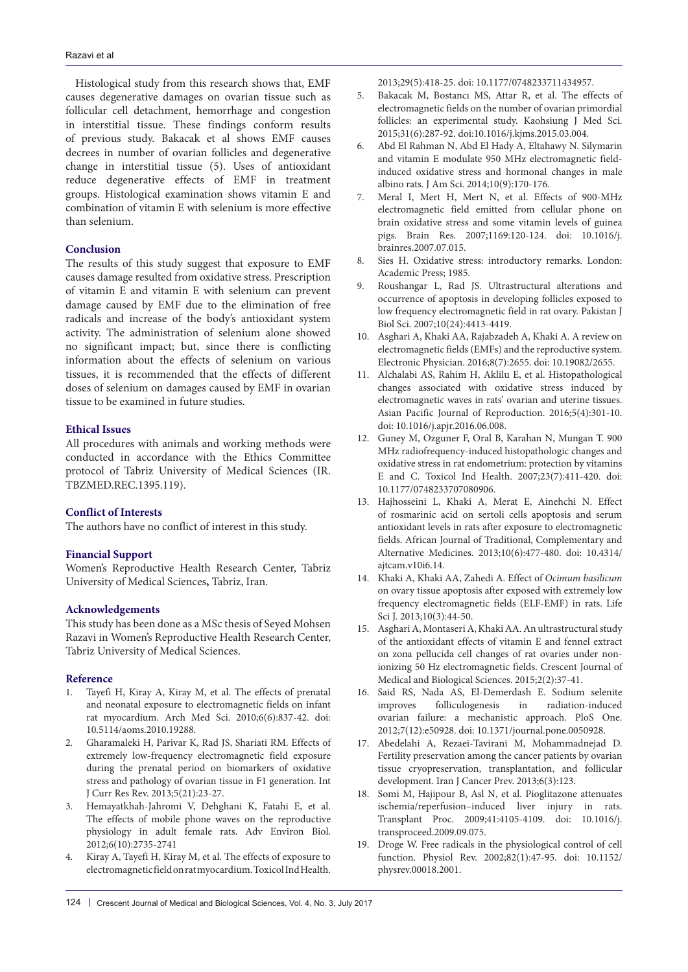Histological study from this research shows that, EMF causes degenerative damages on ovarian tissue such as follicular cell detachment, hemorrhage and congestion in interstitial tissue. These findings conform results of previous study. Bakacak et al shows EMF causes decrees in number of ovarian follicles and degenerative change in interstitial tissue (5). Uses of antioxidant reduce degenerative effects of EMF in treatment groups. Histological examination shows vitamin E and combination of vitamin E with selenium is more effective than selenium.

# **Conclusion**

The results of this study suggest that exposure to EMF causes damage resulted from oxidative stress. Prescription of vitamin E and vitamin E with selenium can prevent damage caused by EMF due to the elimination of free radicals and increase of the body's antioxidant system activity. The administration of selenium alone showed no significant impact; but, since there is conflicting information about the effects of selenium on various tissues, it is recommended that the effects of different doses of selenium on damages caused by EMF in ovarian tissue to be examined in future studies.

#### **Ethical Issues**

All procedures with animals and working methods were conducted in accordance with the Ethics Committee protocol of Tabriz University of Medical Sciences (IR. TBZMED.REC.1395.119).

# **Conflict of Interests**

The authors have no conflict of interest in this study.

#### **Financial Support**

Women's Reproductive Health Research Center, Tabriz University of Medical Sciences**,** Tabriz, Iran.

#### **Acknowledgements**

This study has been done as a MSc thesis of Seyed Mohsen Razavi in Women's Reproductive Health Research Center, Tabriz University of Medical Sciences.

#### **Reference**

- 1. Tayefi H, Kiray A, Kiray M, et al. The effects of prenatal and neonatal exposure to electromagnetic fields on infant rat myocardium. Arch Med Sci. 2010;6(6):837-42. doi: 10.5114/aoms.2010.19288.
- 2. Gharamaleki H, Parivar K, Rad JS, Shariati RM. Effects of extremely low-frequency electromagnetic field exposure during the prenatal period on biomarkers of oxidative stress and pathology of ovarian tissue in F1 generation. Int J Curr Res Rev. 2013;5(21):23-27.
- 3. Hemayatkhah-Jahromi V, Dehghani K, Fatahi E, et al. The effects of mobile phone waves on the reproductive physiology in adult female rats. Adv Environ Biol. 2012;6(10):2735-2741
- 4. Kiray A, Tayefi H, Kiray M, et al. The effects of exposure to electromagnetic field on rat myocardium. Toxicol Ind Health.

2013;29(5):418-25. doi: 10.1177/0748233711434957.

- 5. Bakacak M, Bostancı MS, Attar R, et al. The effects of electromagnetic fields on the number of ovarian primordial follicles: an experimental study. Kaohsiung J Med Sci. 2015;31(6):287-92. doi:10.1016/j.kjms.2015.03.004.
- 6. Abd El Rahman N, Abd El Hady A, Eltahawy N. Silymarin and vitamin E modulate 950 MHz electromagnetic fieldinduced oxidative stress and hormonal changes in male albino rats. J Am Sci. 2014;10(9):170-176.
- 7. Meral I, Mert H, Mert N, et al. Effects of 900-MHz electromagnetic field emitted from cellular phone on brain oxidative stress and some vitamin levels of guinea pigs. Brain Res. 2007;1169:120-124. doi: 10.1016/j. brainres.2007.07.015.
- 8. Sies H. Oxidative stress: introductory remarks. London: Academic Press; 1985.
- 9. Roushangar L, Rad JS. Ultrastructural alterations and occurrence of apoptosis in developing follicles exposed to low frequency electromagnetic field in rat ovary. Pakistan J Biol Sci. 2007;10(24):4413-4419.
- 10. Asghari A, Khaki AA, Rajabzadeh A, Khaki A. A review on electromagnetic fields (EMFs) and the reproductive system. Electronic Physician. 2016;8(7):2655. doi: 10.19082/2655.
- 11. Alchalabi AS, Rahim H, Aklilu E, et al. Histopathological changes associated with oxidative stress induced by electromagnetic waves in rats' ovarian and uterine tissues. Asian Pacific Journal of Reproduction. 2016;5(4):301-10. doi: 10.1016/j.apjr.2016.06.008.
- 12. Guney M, Ozguner F, Oral B, Karahan N, Mungan T. 900 MHz radiofrequency-induced histopathologic changes and oxidative stress in rat endometrium: protection by vitamins E and C. Toxicol Ind Health. 2007;23(7):411-420. doi: 10.1177/0748233707080906.
- 13. Hajhosseini L, Khaki A, Merat E, Ainehchi N. Effect of rosmarinic acid on sertoli cells apoptosis and serum antioxidant levels in rats after exposure to electromagnetic fields. African Journal of Traditional, Complementary and Alternative Medicines. 2013;10(6):477-480. doi: 10.4314/ ajtcam.v10i6.14.
- 14. Khaki A, Khaki AA, Zahedi A. Effect of *Ocimum basilicum*  on ovary tissue apoptosis after exposed with extremely low frequency electromagnetic fields (ELF-EMF) in rats. Life Sci J. 2013;10(3):44-50.
- 15. Asghari A, Montaseri A, Khaki AA. An ultrastructural study of the antioxidant effects of vitamin E and fennel extract on zona pellucida cell changes of rat ovaries under nonionizing 50 Hz electromagnetic fields. Crescent Journal of Medical and Biological Sciences. 2015;2(2):37-41.
- 16. Said RS, Nada AS, El-Demerdash E. Sodium selenite improves folliculogenesis in radiation-induced ovarian failure: a mechanistic approach. PloS One. 2012;7(12):e50928. doi: 10.1371/journal.pone.0050928.
- 17. Abedelahi A, Rezaei-Tavirani M, Mohammadnejad D. Fertility preservation among the cancer patients by ovarian tissue cryopreservation, transplantation, and follicular development. Iran J Cancer Prev. 2013;6(3):123.
- 18. Somi M, Hajipour B, Asl N, et al. Pioglitazone attenuates ischemia/reperfusion–induced liver injury in rats. Transplant Proc. 2009;41:4105-4109. doi: 10.1016/j. transproceed.2009.09.075.
- 19. Droge W. Free radicals in the physiological control of cell function. Physiol Rev. 2002;82(1):47-95. doi: 10.1152/ physrev.00018.2001.